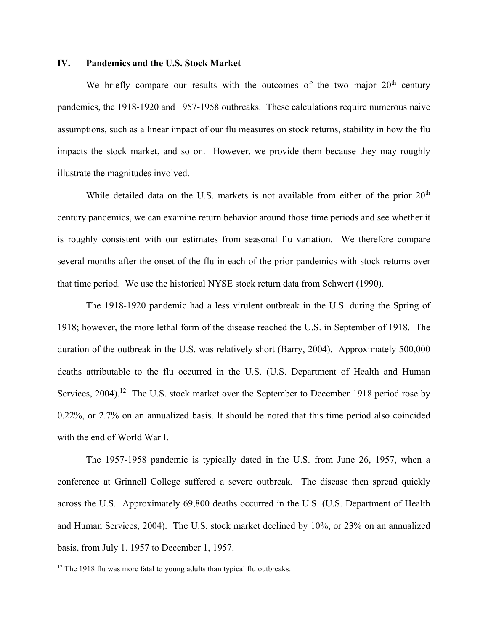## **IV. Pandemics and the U.S. Stock Market**

We briefly compare our results with the outcomes of the two major  $20<sup>th</sup>$  century pandemics, the 1918-1920 and 1957-1958 outbreaks. These calculations require numerous naive assumptions, such as a linear impact of our flu measures on stock returns, stability in how the flu impacts the stock market, and so on. However, we provide them because they may roughly illustrate the magnitudes involved.

While detailed data on the U.S. markets is not available from either of the prior  $20<sup>th</sup>$ century pandemics, we can examine return behavior around those time periods and see whether it is roughly consistent with our estimates from seasonal flu variation. We therefore compare several months after the onset of the flu in each of the prior pandemics with stock returns over that time period. We use the historical NYSE stock return data from Schwert (1990).

The 1918-1920 pandemic had a less virulent outbreak in the U.S. during the Spring of 1918; however, the more lethal form of the disease reached the U.S. in September of 1918. The duration of the outbreak in the U.S. was relatively short (Barry, 2004). Approximately 500,000 deaths attributable to the flu occurred in the U.S. (U.S. Department of Health and Human Services, 2004).<sup>12</sup> The U.S. stock market over the September to December 1918 period rose by 0.22%, or 2.7% on an annualized basis. It should be noted that this time period also coincided with the end of World War I.

The 1957-1958 pandemic is typically dated in the U.S. from June 26, 1957, when a conference at Grinnell College suffered a severe outbreak. The disease then spread quickly across the U.S. Approximately 69,800 deaths occurred in the U.S. (U.S. Department of Health and Human Services, 2004). The U.S. stock market declined by 10%, or 23% on an annualized basis, from July 1, 1957 to December 1, 1957.

<sup>&</sup>lt;sup>12</sup> The 1918 flu was more fatal to young adults than typical flu outbreaks.